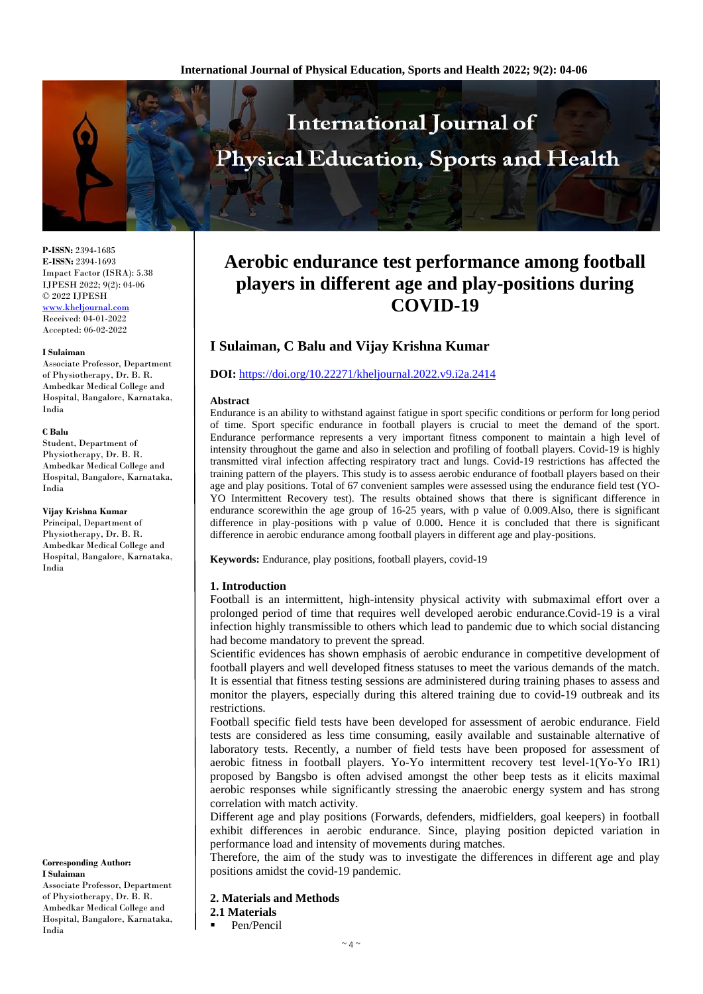

**P-ISSN:** 2394-1685 **E-ISSN:** 2394-1693 Impact Factor (ISRA): 5.38 IJPESH 2022; 9(2): 04-06 © 2022 IJPESH [www.kheljournal.com](http://www.kheljournal.com/) Received: 04-01-2022 Accepted: 06-02-2022

#### **I Sulaiman**

Associate Professor, Department of Physiotherapy, Dr. B. R. Ambedkar Medical College and Hospital, Bangalore, Karnataka, India

#### **C Balu**

Student, Department of Physiotherapy, Dr. B. R. Ambedkar Medical College and Hospital, Bangalore, Karnataka, India

#### **Vijay Krishna Kumar**

Principal, Department of Physiotherapy, Dr. B. R. Ambedkar Medical College and Hospital, Bangalore, Karnataka, India

**Corresponding Author: I Sulaiman**

Associate Professor, Department of Physiotherapy, Dr. B. R. Ambedkar Medical College and Hospital, Bangalore, Karnataka, India

# **Aerobic endurance test performance among football players in different age and play-positions during COVID-19**

# **I Sulaiman, C Balu and Vijay Krishna Kumar**

# **DOI:** <https://doi.org/10.22271/kheljournal.2022.v9.i2a.2414>

### **Abstract**

Endurance is an ability to withstand against fatigue in sport specific conditions or perform for long period of time. Sport specific endurance in football players is crucial to meet the demand of the sport. Endurance performance represents a very important fitness component to maintain a high level of intensity throughout the game and also in selection and profiling of football players. Covid-19 is highly transmitted viral infection affecting respiratory tract and lungs. Covid-19 restrictions has affected the training pattern of the players. This study is to assess aerobic endurance of football players based on their age and play positions. Total of 67 convenient samples were assessed using the endurance field test (YO-YO Intermittent Recovery test). The results obtained shows that there is significant difference in endurance scorewithin the age group of 16-25 years, with p value of 0.009.Also, there is significant difference in play-positions with p value of 0.000**.** Hence it is concluded that there is significant difference in aerobic endurance among football players in different age and play-positions.

**Keywords:** Endurance, play positions, football players, covid-19

# **1. Introduction**

Football is an intermittent, high-intensity physical activity with submaximal effort over a prolonged period of time that requires well developed aerobic endurance.Covid-19 is a viral infection highly transmissible to others which lead to pandemic due to which social distancing had become mandatory to prevent the spread.

Scientific evidences has shown emphasis of aerobic endurance in competitive development of football players and well developed fitness statuses to meet the various demands of the match. It is essential that fitness testing sessions are administered during training phases to assess and monitor the players, especially during this altered training due to covid-19 outbreak and its restrictions.

Football specific field tests have been developed for assessment of aerobic endurance. Field tests are considered as less time consuming, easily available and sustainable alternative of laboratory tests. Recently, a number of field tests have been proposed for assessment of aerobic fitness in football players. Yo-Yo intermittent recovery test level-1(Yo-Yo IR1) proposed by Bangsbo is often advised amongst the other beep tests as it elicits maximal aerobic responses while significantly stressing the anaerobic energy system and has strong correlation with match activity.

Different age and play positions (Forwards, defenders, midfielders, goal keepers) in football exhibit differences in aerobic endurance. Since, playing position depicted variation in performance load and intensity of movements during matches.

Therefore, the aim of the study was to investigate the differences in different age and play positions amidst the covid-19 pandemic.

**2. Materials and Methods**

**2.1 Materials** 

Pen/Pencil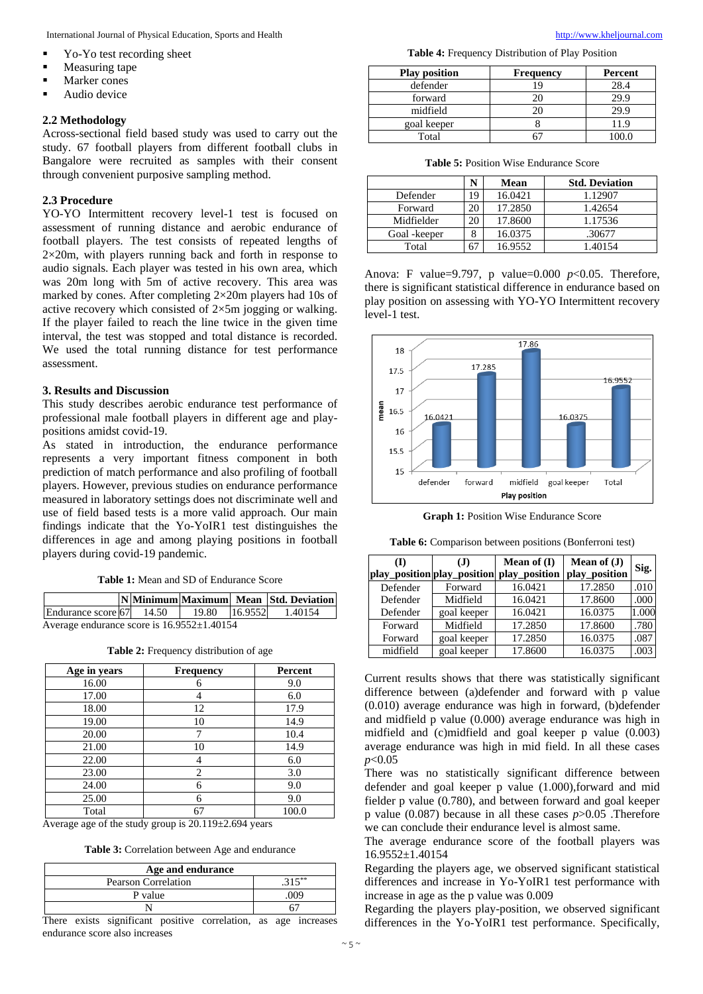International Journal of Physical Education, Sports and Health [http://www.kheljournal.com](http://www.kheljournal.com/)

- Yo-Yo test recording sheet
- **Measuring tape**
- Marker cones
- Audio device

# **2.2 Methodology**

Across-sectional field based study was used to carry out the study. 67 football players from different football clubs in Bangalore were recruited as samples with their consent through convenient purposive sampling method.

### **2.3 Procedure**

YO-YO Intermittent recovery level-1 test is focused on assessment of running distance and aerobic endurance of football players. The test consists of repeated lengths of  $2\times20$ m, with players running back and forth in response to audio signals. Each player was tested in his own area, which was 20m long with 5m of active recovery. This area was marked by cones. After completing 2×20m players had 10s of active recovery which consisted of 2×5m jogging or walking. If the player failed to reach the line twice in the given time interval, the test was stopped and total distance is recorded. We used the total running distance for test performance assessment.

#### **3. Results and Discussion**

This study describes aerobic endurance test performance of professional male football players in different age and playpositions amidst covid-19.

As stated in introduction, the endurance performance represents a very important fitness component in both prediction of match performance and also profiling of football players. However, previous studies on endurance performance measured in laboratory settings does not discriminate well and use of field based tests is a more valid approach. Our main findings indicate that the Yo-YoIR1 test distinguishes the differences in age and among playing positions in football players during covid-19 pandemic.

**Table 1:** Mean and SD of Endurance Score

|                                                  |  |  |  |  | NMinimum Maximum Mean Std. Deviation |
|--------------------------------------------------|--|--|--|--|--------------------------------------|
| Endurance score 67 14.50                         |  |  |  |  | 19.80 16.9552 1.40154                |
| Average endurance score is $16.9552 \pm 1.40154$ |  |  |  |  |                                      |

**Table 2:** Frequency distribution of age

| Age in years | Frequency | Percent |
|--------------|-----------|---------|
| 16.00        | 6         | 9.0     |
| 17.00        |           | 6.0     |
| 18.00        | 12        | 17.9    |
| 19.00        | 10        | 14.9    |
| 20.00        |           | 10.4    |
| 21.00        | 10        | 14.9    |
| 22.00        |           | 6.0     |
| 23.00        | 2         | 3.0     |
| 24.00        | 6         | 9.0     |
| 25.00        | 6         | 9.0     |
| Total        |           | 100.0   |

Average age of the study group is 20.119±2.694 years

**Table 3:** Correlation between Age and endurance

| Age and endurance          |     |  |  |  |
|----------------------------|-----|--|--|--|
| <b>Pearson Correlation</b> | ~** |  |  |  |
| P value                    | 009 |  |  |  |
|                            |     |  |  |  |

There exists significant positive correlation, as age increases endurance score also increases

**Table 4:** Frequency Distribution of Play Position

| <b>Play position</b> | <b>Frequency</b> | Percent |
|----------------------|------------------|---------|
| defender             | , Q              | 28.4    |
| forward              |                  | 29.9    |
| midfield             |                  | 29.9    |
| goal keeper          |                  | 11.9    |
| Total                |                  |         |

| <b>Table 5: Position Wise Endurance Score</b> |
|-----------------------------------------------|
|-----------------------------------------------|

|               |    | Mean    | <b>Std. Deviation</b> |
|---------------|----|---------|-----------------------|
| Defender      | 19 | 16.0421 | 1.12907               |
| Forward       | 20 | 17.2850 | 1.42654               |
| Midfielder    | 20 | 17.8600 | 1.17536               |
| Goal - keeper |    | 16.0375 | .30677                |
| Total         |    | 16.9552 | 1.40154               |

Anova: F value=9.797, p value=0.000 *p*<0.05. Therefore, there is significant statistical difference in endurance based on play position on assessing with YO-YO Intermittent recovery level-1 test.



**Graph 1:** Position Wise Endurance Score

**Table 6:** Comparison between positions (Bonferroni test)

| Œ        | (J)         | Mean of $(I)$<br>play_position play_position play_position | Mean of $(J)$<br>play_position | Sig.  |
|----------|-------------|------------------------------------------------------------|--------------------------------|-------|
| Defender | Forward     | 16.0421                                                    | 17.2850                        | .010  |
| Defender | Midfield    | 16.0421                                                    | 17.8600                        | .000  |
| Defender | goal keeper | 16.0421                                                    | 16.0375                        | 1.000 |
| Forward  | Midfield    | 17.2850                                                    | 17.8600                        | .780  |
| Forward  | goal keeper | 17.2850                                                    | 16.0375                        | .087  |
| midfield | goal keeper | 17.8600                                                    | 16.0375                        | .003  |

Current results shows that there was statistically significant difference between (a)defender and forward with p value (0.010) average endurance was high in forward, (b)defender and midfield p value (0.000) average endurance was high in midfield and (c)midfield and goal keeper p value (0.003) average endurance was high in mid field. In all these cases *p*<0.05

There was no statistically significant difference between defender and goal keeper p value (1.000),forward and mid fielder p value (0.780), and between forward and goal keeper p value (0.087) because in all these cases *p*>0.05 .Therefore we can conclude their endurance level is almost same.

The average endurance score of the football players was 16.9552±1.40154

Regarding the players age, we observed significant statistical differences and increase in Yo-YoIR1 test performance with increase in age as the p value was 0.009

Regarding the players play-position, we observed significant differences in the Yo-YoIR1 test performance. Specifically,